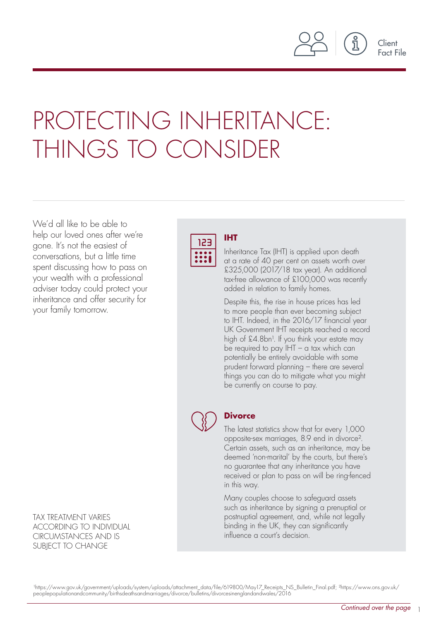

Client Fact File

# PROTECTING INHERITANCE: THINGS TO CONSIDER

We'd all like to be able to help our loved ones after we're gone. It's not the easiest of conversations, but a little time spent discussing how to pass on your wealth with a professional adviser today could protect your inheritance and offer security for your family tomorrow.

TAX TREATMENT VARIES ACCORDING TO INDIVIDUAL CIRCUMSTANCES AND IS SUBJECT TO CHANGE



### **IHT**

Inheritance Tax (IHT) is applied upon death at a rate of 40 per cent on assets worth over £325,000 (2017/18 tax year). An additional tax-free allowance of £100,000 was recently added in relation to family homes.

Despite this, the rise in house prices has led to more people than ever becoming subject to IHT. Indeed, in the 2016/17 financial year UK Government IHT receipts reached a record high of £4.8bn<sup>1</sup>. If you think your estate may be required to pay  $IHT - a$  tax which can potentially be entirely avoidable with some prudent forward planning – there are several things you can do to mitigate what you might be currently on course to pay.



## **Divorce**

The latest statistics show that for every 1,000 opposite-sex marriages, 8.9 end in divorce². Certain assets, such as an inheritance, may be deemed 'non-marital' by the courts, but there's no guarantee that any inheritance you have received or plan to pass on will be ring-fenced in this way.

Many couples choose to safeguard assets such as inheritance by signing a prenuptial or postnuptial agreement, and, while not legally binding in the UK, they can significantly influence a court's decision.

¹https://www.gov.uk/government/uploads/system/uploads/attachment\_data/file/619800/May17\_Receipts\_NS\_Bulletin\_Final.pdf; ²https://www.ons.gov.uk/ peoplepopulationandcommunity/birthsdeathsandmarriages/divorce/bulletins/divorcesinenglandandwales/2016